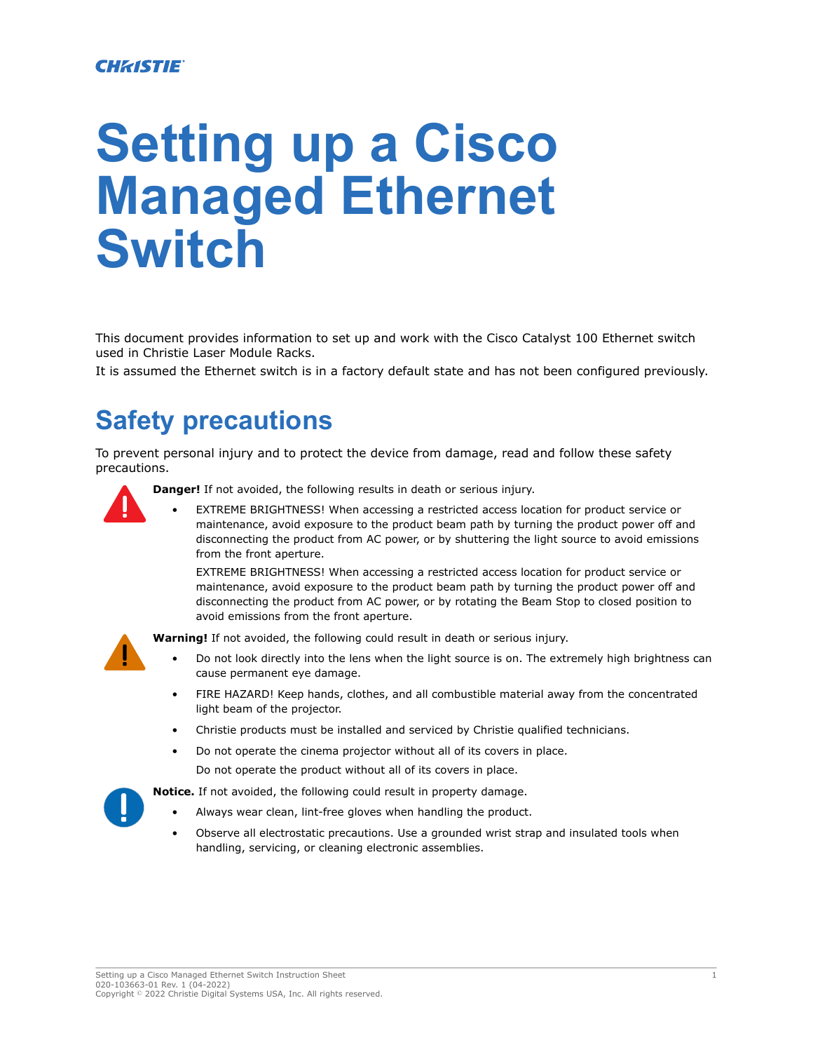#### **CHRISTIE**

# **Setting up a Cisco Managed Ethernet Switch**

This document provides information to set up and work with the Cisco Catalyst 100 Ethernet switch used in Christie Laser Module Racks.

It is assumed the Ethernet switch is in a factory default state and has not been configured previously.

# **Safety precautions**

To prevent personal injury and to protect the device from damage, read and follow these safety precautions.

**Danger!** If not avoided, the following results in death or serious injury.

EXTREME BRIGHTNESS! When accessing a restricted access location for product service or maintenance, avoid exposure to the product beam path by turning the product power off and disconnecting the product from AC power, or by shuttering the light source to avoid emissions from the front aperture.

EXTREME BRIGHTNESS! When accessing a restricted access location for product service or maintenance, avoid exposure to the product beam path by turning the product power off and disconnecting the product from AC power, or by rotating the Beam Stop to closed position to avoid emissions from the front aperture.

**Warning!** If not avoided, the following could result in death or serious injury.

- Do not look directly into the lens when the light source is on. The extremely high brightness can cause permanent eye damage.
- FIRE HAZARD! Keep hands, clothes, and all combustible material away from the concentrated light beam of the projector.
- Christie products must be installed and serviced by Christie qualified technicians.
- Do not operate the cinema projector without all of its covers in place.

Do not operate the product without all of its covers in place.

**Notice.** If not avoided, the following could result in property damage.

- Always wear clean, lint-free gloves when handling the product.
- Observe all electrostatic precautions. Use a grounded wrist strap and insulated tools when handling, servicing, or cleaning electronic assemblies.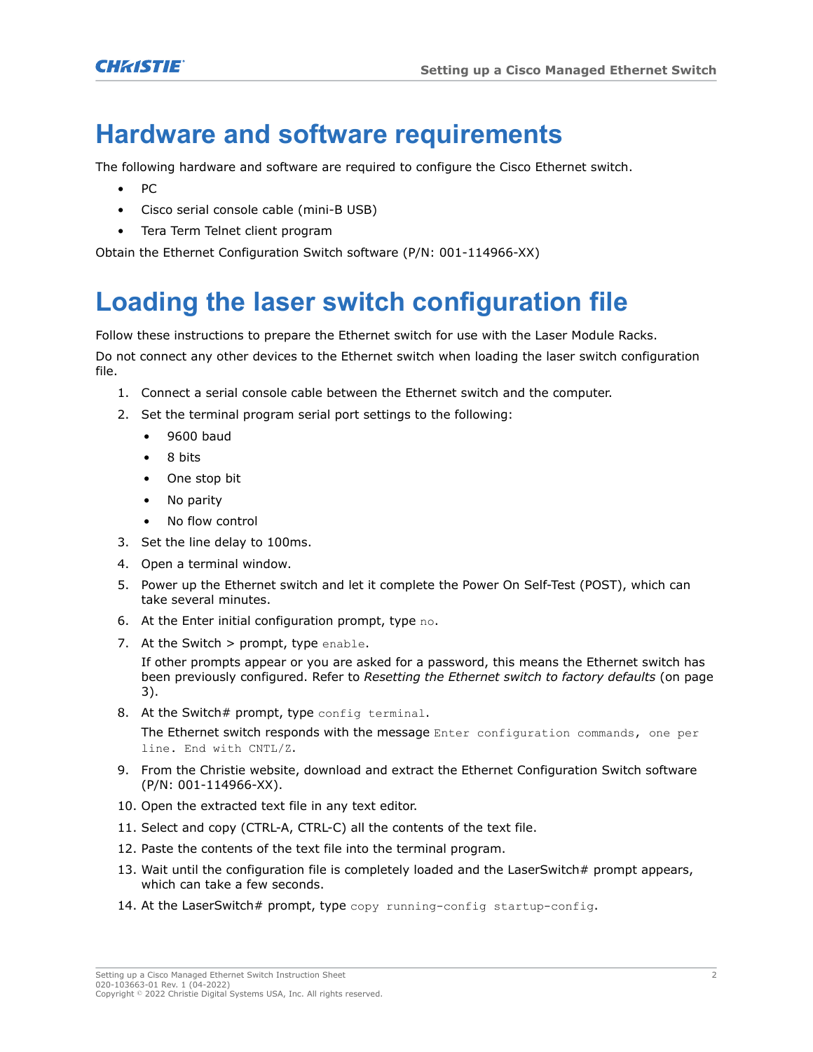### **Hardware and software requirements**

The following hardware and software are required to configure the Cisco Ethernet switch.

- PC
- Cisco serial console cable (mini-B USB)
- Tera Term Telnet client program

Obtain the Ethernet Configuration Switch software (P/N: 001-114966-XX)

## **Loading the laser switch configuration file**

Follow these instructions to prepare the Ethernet switch for use with the Laser Module Racks.

Do not connect any other devices to the Ethernet switch when loading the laser switch configuration file.

1. Connect a serial console cable between the Ethernet switch and the computer.

2. Set the terminal program serial port settings to the following:

- 9600 baud
- 8 bits
- One stop bit
- No parity
- No flow control
- 3. Set the line delay to 100ms.
- 4. Open a terminal window.
- 5. Power up the Ethernet switch and let it complete the Power On Self-Test (POST), which can take several minutes.
- 6. At the Enter initial configuration prompt, type no.
- 7. At the Switch  $>$  prompt, type enable.

If other prompts appear or you are asked for a password, this means the Ethernet switch has been previously configured. Refer to *[Resetting the Ethernet switch to factory defaults](#page-2-0)* (on page 3).

8. At the Switch# prompt, type config terminal.

The Ethernet switch responds with the message Enter configuration commands, one per line. End with CNTL/Z.

- 9. From the Christie website, download and extract the Ethernet Configuration Switch software (P/N: 001-114966-XX).
- 10. Open the extracted text file in any text editor.
- 11. Select and copy (CTRL-A, CTRL-C) all the contents of the text file.
- 12. Paste the contents of the text file into the terminal program.
- 13. Wait until the configuration file is completely loaded and the LaserSwitch# prompt appears, which can take a few seconds.
- 14. At the LaserSwitch# prompt, type copy running-config startup-config.